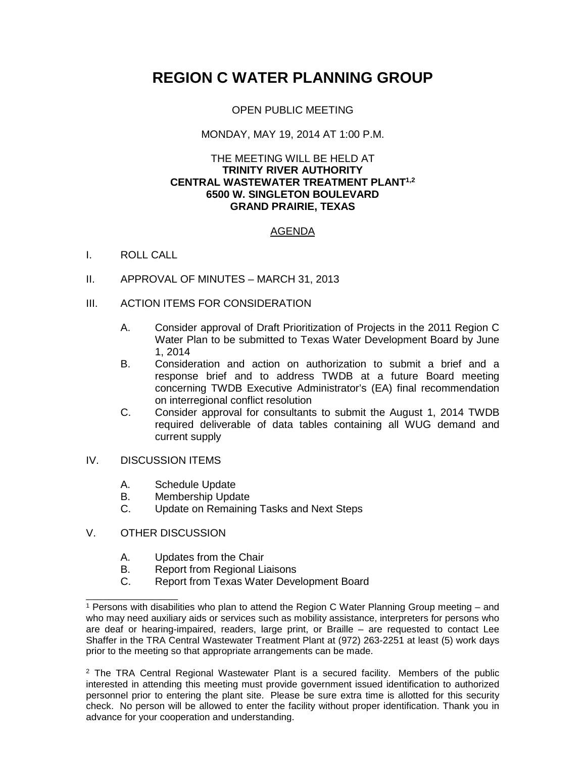# **REGION C WATER PLANNING GROUP**

# OPEN PUBLIC MEETING

## MONDAY, MAY 19, 2014 AT 1:00 P.M.

#### THE MEETING WILL BE HELD AT **TRINITY RIVER AUTHORITY CENTRAL WASTEWATER TREATMENT PLANT1,2 6500 W. SINGLETON BOULEVARD GRAND PRAIRIE, TEXAS**

# AGENDA

## I. ROLL CALL

- II. APPROVAL OF MINUTES MARCH 31, 2013
- III. ACTION ITEMS FOR CONSIDERATION
	- A. Consider approval of Draft Prioritization of Projects in the 2011 Region C Water Plan to be submitted to Texas Water Development Board by June 1, 2014
	- B. Consideration and action on authorization to submit a brief and a response brief and to address TWDB at a future Board meeting concerning TWDB Executive Administrator's (EA) final recommendation on interregional conflict resolution
	- C. Consider approval for consultants to submit the August 1, 2014 TWDB required deliverable of data tables containing all WUG demand and current supply
- IV. DISCUSSION ITEMS
	- A. Schedule Update
	- B. Membership Update
	- C. Update on Remaining Tasks and Next Steps
- V. OTHER DISCUSSION

\_\_\_\_\_\_\_\_\_\_\_\_\_\_\_\_

- A. Updates from the Chair<br>B. Report from Regional Li
- B. Report from Regional Liaisons<br>C. Report from Texas Water Deve
- Report from Texas Water Development Board

<sup>1</sup> Persons with disabilities who plan to attend the Region C Water Planning Group meeting – and who may need auxiliary aids or services such as mobility assistance, interpreters for persons who are deaf or hearing-impaired, readers, large print, or Braille – are requested to contact Lee Shaffer in the TRA Central Wastewater Treatment Plant at (972) 263-2251 at least (5) work days prior to the meeting so that appropriate arrangements can be made.

 $2$  The TRA Central Regional Wastewater Plant is a secured facility. Members of the public interested in attending this meeting must provide government issued identification to authorized personnel prior to entering the plant site. Please be sure extra time is allotted for this security check. No person will be allowed to enter the facility without proper identification. Thank you in advance for your cooperation and understanding.